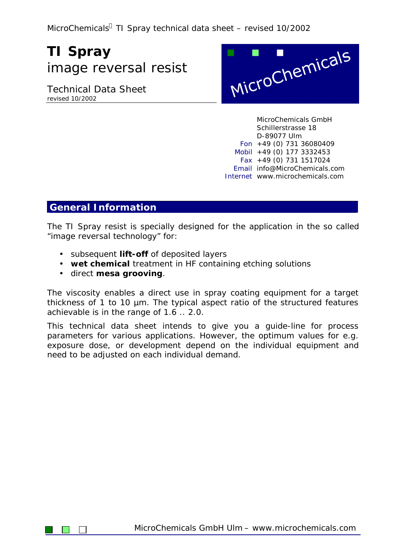MicroChemicals<sup>®</sup> TI Spray technical data sheet – revised 10/2002

# **TI Spray** image reversal resist

Technical Data Sheet revised 10/2002



MicroChemicals GmbH Schillerstrasse 18 D-89077 Ulm Fon +49 (0) 731 36080409 Mobil +49 (0) 177 3332453 Fax +49 (0) 731 1517024 Email info@MicroChemicals.com Internet www.microchemicals.com

### **General Information**

The TI Spray resist is specially designed for the application in the so called "image reversal technology" for:

- subsequent **lift-off** of deposited layers
- **wet chemical** treatment in HF containing etching solutions
- direct **mesa grooving**.

The viscosity enables a direct use in spray coating equipment for a target thickness of 1 to 10 µm. The typical aspect ratio of the structured features achievable is in the range of 1.6 .. 2.0.

This technical data sheet intends to give you a guide-line for process parameters for various applications. However, the optimum values for e.g. exposure dose, or development depend on the individual equipment and need to be adjusted on each individual demand.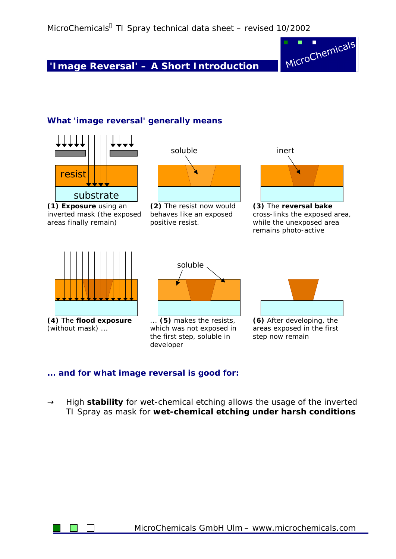**'Image Reversal' – A Short Introduction**



#### **What 'image reversal' generally means**



#### **... and for what image reversal is good for:**

**®** High **stability** for wet-chemical etching allows the usage of the inverted TI Spray as mask for **wet-chemical etching under harsh conditions**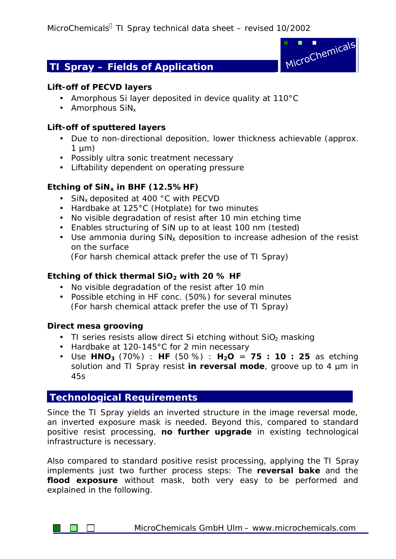# **TI Spray – Fields of Application**



#### **Lift-off of PECVD layers**

- Amorphous Si layer deposited in device quality at 110°C
- $\bullet$  Amorphous SiN<sub>x</sub>

#### **Lift-off of sputtered layers**

- Due to non-directional deposition, lower thickness achievable (approx.  $1 \mu m$ )
- Possibly ultra sonic treatment necessary
- Liftability dependent on operating pressure

#### **Etching of SiNx in BHF (12.5%HF)**

- SiN<sub>x</sub> deposited at 400 °C with PECVD
- Hardbake at 125°C (Hotplate) for two minutes
- No visible degradation of resist after 10 min etching time
- Enables structuring of SiN up to at least 100 nm (tested)
- Use ammonia during  $\sin x$  deposition to increase adhesion of the resist on the surface
	- (For harsh chemical attack prefer the use of TI Spray)

#### **Etching of thick thermal SiO2 with 20 % HF**

- No visible degradation of the resist after 10 min
- Possible etching in HF conc. (50%) for several minutes (For harsh chemical attack prefer the use of TI Spray)

#### **Direct mesa grooving**

- TI series resists allow direct Si etching without  $SiO<sub>2</sub>$  masking
- Hardbake at 120-145°C for 2 min necessary
- Use **HNO<sup>3</sup>** (70%) : **HF** (50 %) : **H2O** = **75 : 10 : 25** as etching solution and TI Spray resist **in reversal mode**, groove up to 4 µm in 45s

### **Technological Requirements**

Since the TI Spray yields an inverted structure in the image reversal mode, an inverted exposure mask is needed. Beyond this, compared to standard positive resist processing, **no further upgrade** in existing technological infrastructure is necessary.

Also compared to standard positive resist processing, applying the TI Spray implements just two further process steps: The **reversal bake** and the **flood exposure** without mask, both very easy to be performed and explained in the following.

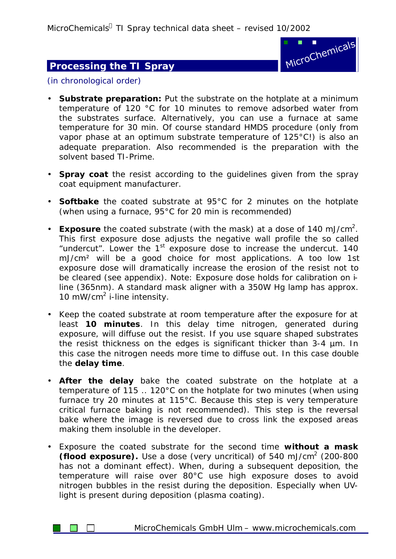MicroChemicals<sup>®</sup> TI Spray technical data sheet – revised 10/2002

## **Processing the TI Spray**



(in chronological order)

- **Substrate preparation:** Put the substrate on the hotplate at a minimum temperature of 120 °C for 10 minutes to remove adsorbed water from the substrates surface. Alternatively, you can use a furnace at same temperature for 30 min. Of course standard HMDS procedure (only from vapor phase at an optimum substrate temperature of 125°C!) is also an adequate preparation. Also recommended is the preparation with the solvent based TI-Prime.
- **Spray coat** the resist according to the guidelines given from the spray coat equipment manufacturer.
- **Softbake** the coated substrate at 95°C for 2 minutes on the hotplate (when using a furnace, 95°C for 20 min is recommended)
- **Exposure** the coated substrate (with the mask) at a dose of 140 mJ/cm<sup>2</sup> . This first exposure dose adjusts the negative wall profile the so called "undercut". Lower the 1<sup>st</sup> exposure dose to increase the undercut. 140 mJ/cm² will be a good choice for most applications. A too low 1st exposure dose will dramatically increase the erosion of the resist not to be cleared (see appendix). Note: Exposure dose holds for calibration on iline (365nm). A standard mask aligner with a 350W Hg lamp has approx. 10 mW/cm<sup>2</sup> i-line intensity.
- Keep the coated substrate at room temperature after the exposure for at least **10 minutes**. In this delay time nitrogen, generated during exposure, will diffuse out the resist. If you use square shaped substrates the resist thickness on the edges is significant thicker than 3-4 µm. In this case the nitrogen needs more time to diffuse out. In this case double the **delay time**.
- **After the delay** bake the coated substrate on the hotplate at a temperature of 115 .. 120°C on the hotplate for two minutes (when using furnace try 20 minutes at 115°C. Because this step is very temperature critical furnace baking is not recommended). This step is the *reversal bake* where the image is reversed due to cross link the exposed areas making them insoluble in the developer.
- Exposure the coated substrate for the second time **without a mask (flood exposure).** Use a dose (very uncritical) of 540 mJ/cm<sup>2</sup> (200-800 has not a dominant effect). When, during a subsequent deposition, the temperature will raise over 80°C use high exposure doses to avoid nitrogen bubbles in the resist during the deposition. Especially when UVlight is present during deposition (plasma coating).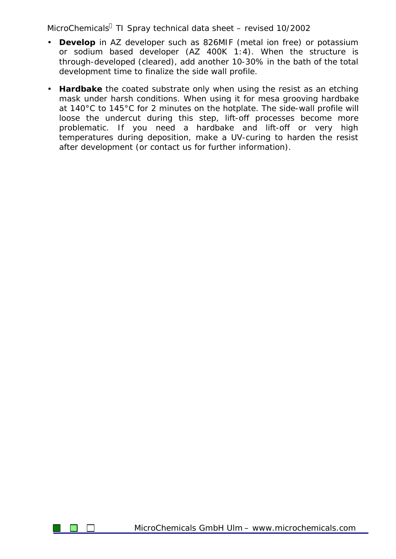MicroChemicals<sup>®</sup> TI Spray technical data sheet – revised 10/2002

- **Develop** in AZ developer such as 826MIF (metal ion free) or potassium or sodium based developer (AZ 400K 1:4). When the structure is through-developed (cleared), add another 10-30% in the bath of the total development time to finalize the side wall profile.
- **Hardbake** the coated substrate only when using the resist as an etching mask under harsh conditions. When using it for mesa grooving hardbake at 140°C to 145°C for 2 minutes on the hotplate. The side-wall profile will loose the undercut during this step, lift-off processes become more problematic. If you need a hardbake and lift-off or very high temperatures during deposition, make a UV-curing to harden the resist after development (or contact us for further information).